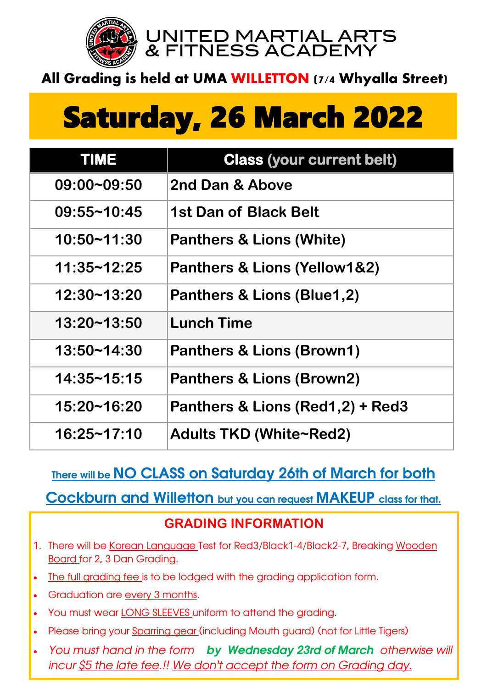

UNITED MARTIAL ARTS & FITNESS ACADEMY

## **All Grading is held at UMA WILLETTON (7/4 Whyalla Street)**

# Saturday, 26 March 2022

| <b>TIME</b>        | <b>Class (your current belt)</b>     |
|--------------------|--------------------------------------|
| 09:00~09:50        | 2nd Dan & Above                      |
| $09:55 - 10:45$    | 1st Dan of Black Belt                |
| 10:50~11:30        | <b>Panthers &amp; Lions (White)</b>  |
| 11:35~12:25        | Panthers & Lions (Yellow1&2)         |
| 12:30~13:20        | Panthers & Lions (Blue1,2)           |
| $13:20 - 13:50$    | <b>Lunch Time</b>                    |
| 13:50~14:30        | Panthers & Lions (Brown1)            |
| $14:35 \sim 15:15$ | <b>Panthers &amp; Lions (Brown2)</b> |
| 15:20~16:20        | Panthers & Lions (Red1,2) + Red3     |
| 16:25~17:10        | Adults TKD (White~Red2)              |

### There will be NO CLASS on Saturday 26th of March for both

Cockburn and Willetton but you can request MAKEUP class for that.

#### **GRADING INFORMATION**

- 1. There will be Korean Language Test for Red3/Black1-4/Black2-7, Breaking Wooden Board for 2, 3 Dan Grading.
- The full grading fee is to be lodged with the grading application form.
- Graduation are every 3 months.
- You must wear LONG SLEEVES uniform to attend the grading.
- Please bring your Sparring gear (including Mouth guard) (not for Little Tigers)
- *You must hand in the form by Wednesday 23rd of March otherwise will incur \$5 the late fee.!! We don't accept the form on Grading day.*